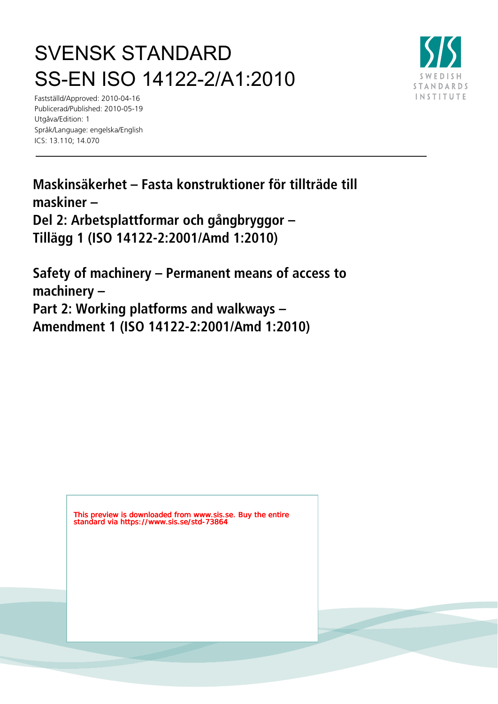# SVENSK STANDARD SS-EN ISO 14122-2/A1:2010



Fastställd/Approved: 2010-04-16 Publicerad/Published: 2010-05-19 Utgåva/Edition: 1 Språk/Language: engelska/English ICS: 13.110; 14.070

**Maskinsäkerhet – Fasta konstruktioner för tillträde till maskiner – Del 2: Arbetsplattformar och gångbryggor – Tillägg 1 (ISO 14122-2:2001/Amd 1:2010)**

**Safety of machinery – Permanent means of access to machinery – Part 2: Working platforms and walkways – Amendment 1 (ISO 14122-2:2001/Amd 1:2010)**

> This preview is downloaded from www.sis.se. Buy the entire standard via https://www.sis.se/std-73864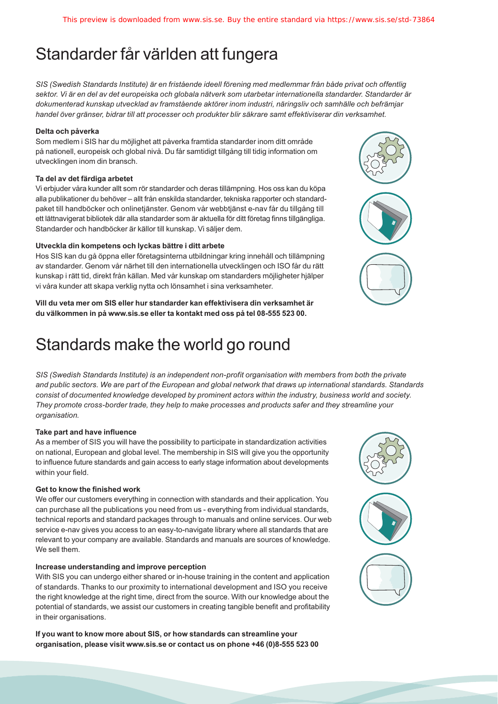# Standarder får världen att fungera

*SIS (Swedish Standards Institute) är en fristående ideell förening med medlemmar från både privat och offentlig sektor. Vi är en del av det europeiska och globala nätverk som utarbetar internationella standarder. Standarder är dokumenterad kunskap utvecklad av framstående aktörer inom industri, näringsliv och samhälle och befrämjar handel över gränser, bidrar till att processer och produkter blir säkrare samt effektiviserar din verksamhet.* 

#### **Delta och påverka**

Som medlem i SIS har du möjlighet att påverka framtida standarder inom ditt område på nationell, europeisk och global nivå. Du får samtidigt tillgång till tidig information om utvecklingen inom din bransch.

### **Ta del av det färdiga arbetet**

Vi erbjuder våra kunder allt som rör standarder och deras tillämpning. Hos oss kan du köpa alla publikationer du behöver – allt från enskilda standarder, tekniska rapporter och standardpaket till handböcker och onlinetjänster. Genom vår webbtjänst e-nav får du tillgång till ett lättnavigerat bibliotek där alla standarder som är aktuella för ditt företag finns tillgängliga. Standarder och handböcker är källor till kunskap. Vi säljer dem.

### **Utveckla din kompetens och lyckas bättre i ditt arbete**

Hos SIS kan du gå öppna eller företagsinterna utbildningar kring innehåll och tillämpning av standarder. Genom vår närhet till den internationella utvecklingen och ISO får du rätt kunskap i rätt tid, direkt från källan. Med vår kunskap om standarders möjligheter hjälper vi våra kunder att skapa verklig nytta och lönsamhet i sina verksamheter.

**Vill du veta mer om SIS eller hur standarder kan effektivisera din verksamhet är du välkommen in på www.sis.se eller ta kontakt med oss på tel 08-555 523 00.**

# Standards make the world go round

*SIS (Swedish Standards Institute) is an independent non-profit organisation with members from both the private and public sectors. We are part of the European and global network that draws up international standards. Standards consist of documented knowledge developed by prominent actors within the industry, business world and society. They promote cross-border trade, they help to make processes and products safer and they streamline your organisation.*

### **Take part and have influence**

As a member of SIS you will have the possibility to participate in standardization activities on national, European and global level. The membership in SIS will give you the opportunity to influence future standards and gain access to early stage information about developments within your field.

### **Get to know the finished work**

We offer our customers everything in connection with standards and their application. You can purchase all the publications you need from us - everything from individual standards, technical reports and standard packages through to manuals and online services. Our web service e-nav gives you access to an easy-to-navigate library where all standards that are relevant to your company are available. Standards and manuals are sources of knowledge. We sell them.

### **Increase understanding and improve perception**

With SIS you can undergo either shared or in-house training in the content and application of standards. Thanks to our proximity to international development and ISO you receive the right knowledge at the right time, direct from the source. With our knowledge about the potential of standards, we assist our customers in creating tangible benefit and profitability in their organisations.

**If you want to know more about SIS, or how standards can streamline your organisation, please visit www.sis.se or contact us on phone +46 (0)8-555 523 00**



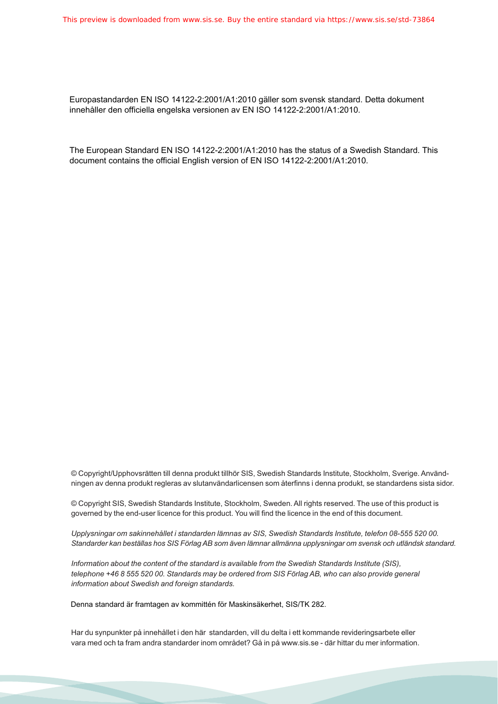Europastandarden EN ISO 14122-2:2001/A1:2010 gäller som svensk standard. Detta dokument innehåller den officiella engelska versionen av EN ISO 14122-2:2001/A1:2010.

The European Standard EN ISO 14122-2:2001/A1:2010 has the status of a Swedish Standard. This document contains the official English version of EN ISO 14122-2:2001/A1:2010.

© Copyright/Upphovsrätten till denna produkt tillhör SIS, Swedish Standards Institute, Stockholm, Sverige. Användningen av denna produkt regleras av slutanvändarlicensen som återfinns i denna produkt, se standardens sista sidor.

© Copyright SIS, Swedish Standards Institute, Stockholm, Sweden. All rights reserved. The use of this product is governed by the end-user licence for this product. You will find the licence in the end of this document.

*Upplysningar om sakinnehållet i standarden lämnas av SIS, Swedish Standards Institute, telefon 08-555 520 00. Standarder kan beställas hos SIS Förlag AB som även lämnar allmänna upplysningar om svensk och utländsk standard.*

*Information about the content of the standard is available from the Swedish Standards Institute (SIS), telephone +46 8 555 520 00. Standards may be ordered from SIS Förlag AB, who can also provide general information about Swedish and foreign standards.*

Denna standard är framtagen av kommittén för Maskinsäkerhet, SIS/TK 282.

Har du synpunkter på innehållet i den här standarden, vill du delta i ett kommande revideringsarbete eller vara med och ta fram andra standarder inom området? Gå in på www.sis.se - där hittar du mer information.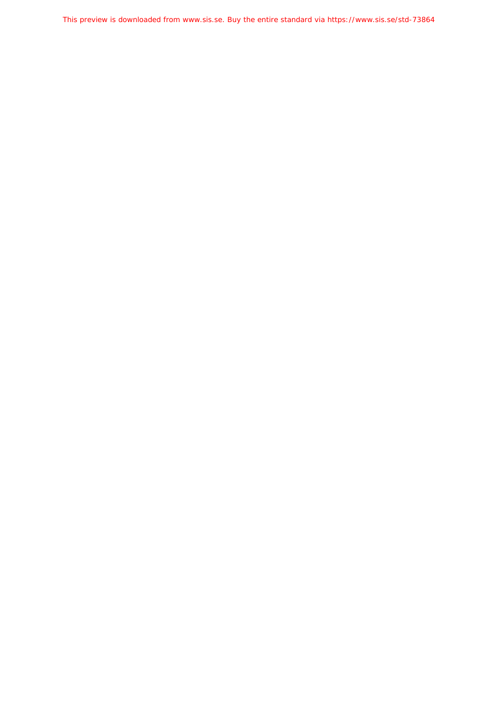This preview is downloaded from www.sis.se. Buy the entire standard via https://www.sis.se/std-73864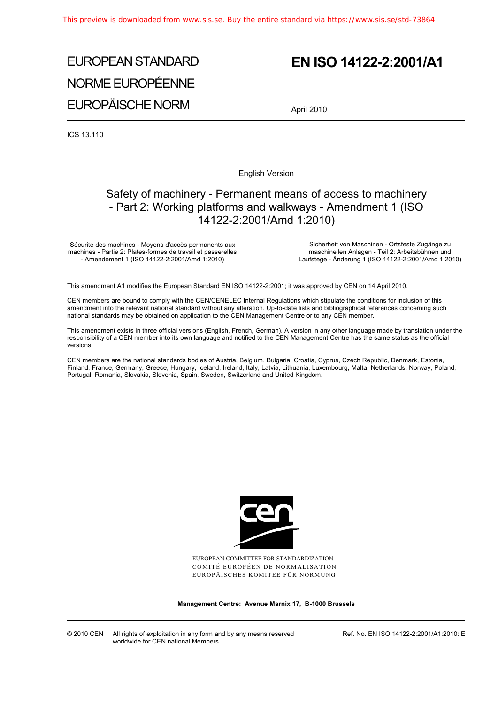# EUROPEAN STANDARD NORME EUROPÉENNE EUROPÄISCHE NORM

### **EN ISO 14122-2:2001/A1**

April 2010

ICS 13.110

English Version

### Safety of machinery - Permanent means of access to machinery - Part 2: Working platforms and walkways - Amendment 1 (ISO 14122-2:2001/Amd 1:2010)

Sécurité des machines - Moyens d'accès permanents aux machines - Partie 2: Plates-formes de travail et passerelles - Amendement 1 (ISO 14122-2:2001/Amd 1:2010)

 Sicherheit von Maschinen - Ortsfeste Zugänge zu maschinellen Anlagen - Teil 2: Arbeitsbühnen und Laufstege - Änderung 1 (ISO 14122-2:2001/Amd 1:2010)

This amendment A1 modifies the European Standard EN ISO 14122-2:2001; it was approved by CEN on 14 April 2010.

CEN members are bound to comply with the CEN/CENELEC Internal Regulations which stipulate the conditions for inclusion of this amendment into the relevant national standard without any alteration. Up-to-date lists and bibliographical references concerning such national standards may be obtained on application to the CEN Management Centre or to any CEN member.

This amendment exists in three official versions (English, French, German). A version in any other language made by translation under the responsibility of a CEN member into its own language and notified to the CEN Management Centre has the same status as the official versions.

CEN members are the national standards bodies of Austria, Belgium, Bulgaria, Croatia, Cyprus, Czech Republic, Denmark, Estonia, Finland, France, Germany, Greece, Hungary, Iceland, Ireland, Italy, Latvia, Lithuania, Luxembourg, Malta, Netherlands, Norway, Poland, Portugal, Romania, Slovakia, Slovenia, Spain, Sweden, Switzerland and United Kingdom.



EUROPEAN COMMITTEE FOR STANDARDIZATION COMITÉ EUROPÉEN DE NORMALISATION EUROPÄISCHES KOMITEE FÜR NORMUNG

**Management Centre: Avenue Marnix 17, B-1000 Brussels** 

© 2010 CEN All rights of exploitation in any form and by any means reserved worldwide for CEN national Members.

Ref. No. EN ISO 14122-2:2001/A1:2010: E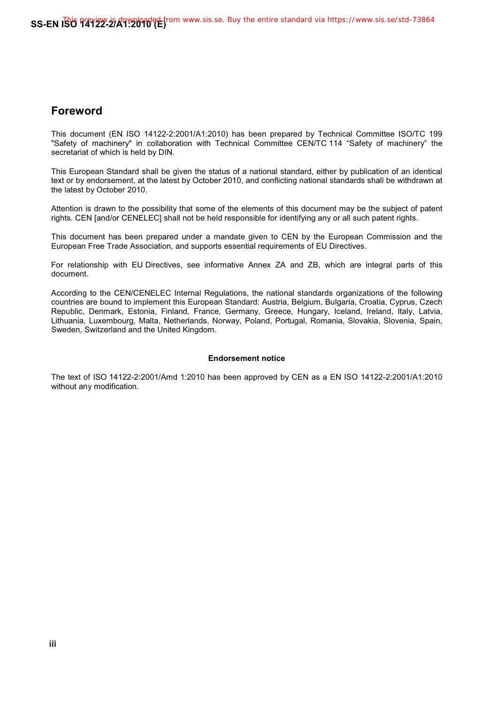### **Foreword**

This document (EN ISO 14122-2:2001/A1:2010) has been prepared by Technical Committee ISO/TC 199 "Safety of machinery" in collaboration with Technical Committee CEN/TC 114 "Safety of machinery" the secretariat of which is held by DIN.

This European Standard shall be given the status of a national standard, either by publication of an identical text or by endorsement, at the latest by October 2010, and conflicting national standards shall be withdrawn at the latest by October 2010.

Attention is drawn to the possibility that some of the elements of this document may be the subject of patent rights. CEN [and/or CENELEC] shall not be held responsible for identifying any or all such patent rights.

This document has been prepared under a mandate given to CEN by the European Commission and the European Free Trade Association, and supports essential requirements of EU Directives.

For relationship with EU Directives, see informative Annex ZA and ZB, which are integral parts of this document.

According to the CEN/CENELEC Internal Regulations, the national standards organizations of the following countries are bound to implement this European Standard: Austria, Belgium, Bulgaria, Croatia, Cyprus, Czech Republic, Denmark, Estonia, Finland, France, Germany, Greece, Hungary, Iceland, Ireland, Italy, Latvia, Lithuania, Luxembourg, Malta, Netherlands, Norway, Poland, Portugal, Romania, Slovakia, Slovenia, Spain, Sweden, Switzerland and the United Kingdom.

#### **Endorsement notice**

The text of ISO 14122-2:2001/Amd 1:2010 has been approved by CEN as a EN ISO 14122-2:2001/A1:2010 without any modification.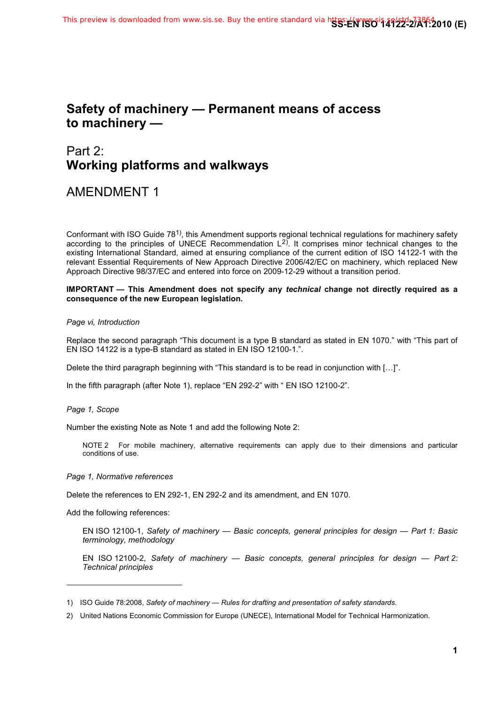### **Safety of machinery — Permanent means of access to machinery —**

### Part 2: **Working platforms and walkways**

AMENDMENT 1

Conformant with ISO Guide 78<sup>1)</sup>, this Amendment supports regional technical regulations for machinery safety according to the principles of UNECE Recommendation  $L^2$ . It comprises minor technical changes to the existing International Standard, aimed at ensuring compliance of the current edition of ISO 14122-1 with the relevant Essential Requirements of New Approach Directive 2006/42/EC on machinery, which replaced New Approach Directive 98/37/EC and entered into force on 2009-12-29 without a transition period.

### **IMPORTANT — This Amendment does not specify any** *technical* **change not directly required as a consequence of the new European legislation.**

*Page vi, Introduction* 

Replace the second paragraph "This document is a type B standard as stated in EN 1070." with "This part of EN ISO 14122 is a type-B standard as stated in EN ISO 12100-1.".

Delete the third paragraph beginning with "This standard is to be read in conjunction with […]".

In the fifth paragraph (after Note 1), replace "EN 292-2" with " EN ISO 12100-2".

*Page 1, Scope* 

-

Number the existing Note as Note 1 and add the following Note 2:

NOTE 2 For mobile machinery, alternative requirements can apply due to their dimensions and particular conditions of use.

*Page 1, Normative references*

Delete the references to EN 292-1, EN 292-2 and its amendment, and EN 1070.

Add the following references:

EN ISO 12100-1, *Safety of machinery — Basic concepts, general principles for design — Part 1: Basic terminology, methodology* 

EN ISO 12100-2, *Safety of machinery — Basic concepts, general principles for design — Part 2: Technical principles*

<sup>1)</sup> ISO Guide 78:2008, *Safety of machinery — Rules for drafting and presentation of safety standards*.

<sup>2)</sup> United Nations Economic Commission for Europe (UNECE), International Model for Technical Harmonization.